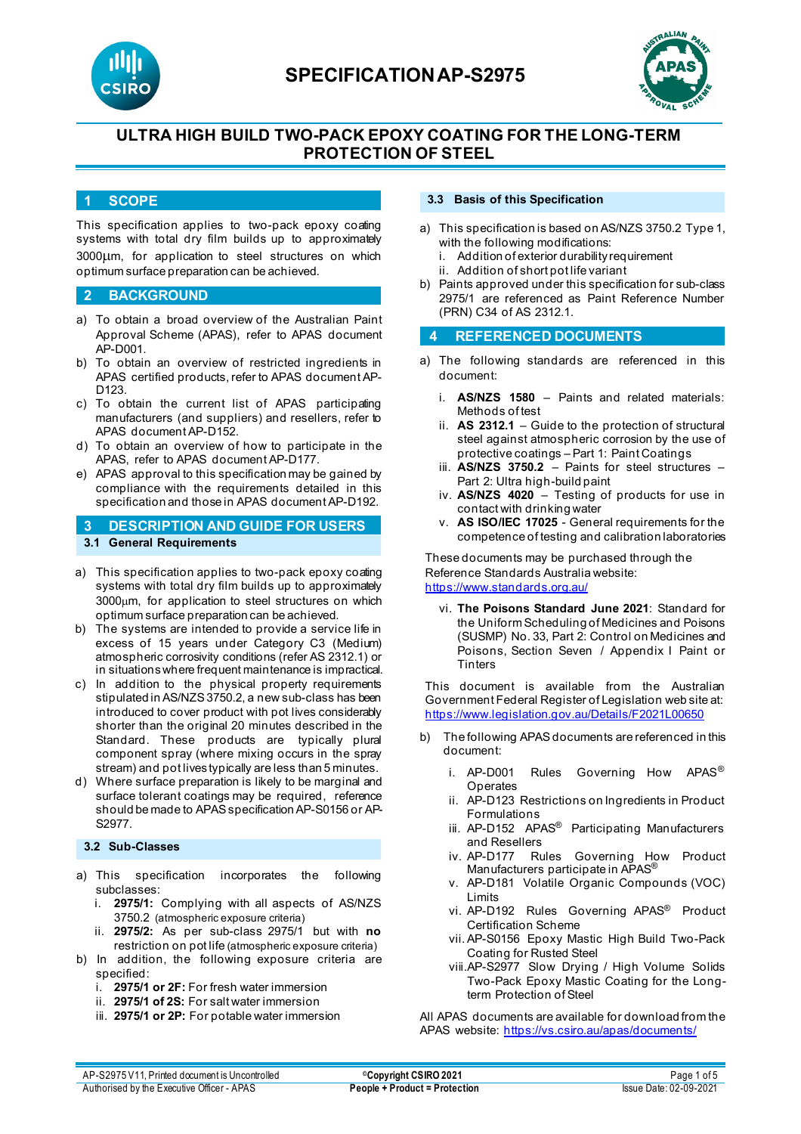



# **ULTRA HIGH BUILD TWO-PACK EPOXY COATING FOR THE LONG-TERM PROTECTION OF STEEL**

### **1 SCOPE**

This specification applies to two-pack epoxy coating systems with total dry film builds up to approximately 3000µm, for application to steel structures on which optimum surface preparation can be achieved.

### **2 BACKGROUND**

- a) To obtain a broad overview of the Australian Paint Approval Scheme (APAS), refer to APAS document AP-D001.
- b) To obtain an overview of restricted ingredients in APAS certified products, refer to APAS document AP-D<sub>123</sub>
- c) To obtain the current list of APAS participating manufacturers (and suppliers) and resellers, refer to APAS document AP-D152.
- d) To obtain an overview of how to participate in the APAS, refer to APAS document AP-D177.
- e) APAS approval to this specification may be gained by compliance with the requirements detailed in this specification and those in APAS document AP-D192.
- **3 DESCRIPTION AND GUIDE FOR USERS 3.1 General Requirements**
- a) This specification applies to two-pack epoxy coating systems with total dry film builds up to approximately 3000µm, for application to steel structures on which optimum surface preparation can be achieved.
- b) The systems are intended to provide a service life in excess of 15 years under Category C3 (Medium) atmospheric corrosivity conditions (refer AS 2312.1) or in situations where frequent maintenance is impractical.
- c) In addition to the physical property requirements stipulated in AS/NZS 3750.2, a new sub-class has been introduced to cover product with pot lives considerably shorter than the original 20 minutes described in the Standard. These products are typically plural component spray (where mixing occurs in the spray stream) and pot lives typically are less than 5 minutes.
- d) Where surface preparation is likely to be marginal and surface tolerant coatings may be required, reference should be made to APAS specification AP-S0156 or AP-S2977.

## **3.2 Sub-Classes**

- a) This specification incorporates the following subclasses:
	- i. **2975/1:** Complying with all aspects of AS/NZS 3750.2 (atmospheric exposure criteria)
	- ii. **2975/2:** As per sub-class 2975/1 but with **no** restriction on pot life (atmospheric exposure criteria)
- b) In addition, the following exposure criteria are specified:
	- i. **2975/1 or 2F:** For fresh water immersion
	- ii. **2975/1 of 2S:** For salt water immersion
	- iii. **2975/1 or 2P:** For potable water immersion

#### **3.3 Basis of this Specification**

- a) This specification is based on AS/NZS 3750.2 Type 1, with the following modifications:
	- i. Addition of exterior durability requirement
	- ii. Addition of short pot life variant
- b) Paints approved under this specification for sub-class 2975/1 are referenced as Paint Reference Number (PRN) C34 of AS 2312.1.

### **4 REFERENCED DOCUMENTS**

- a) The following standards are referenced in this document:
	- i. **AS/NZS 1580** Paints and related materials: Methods of test
	- ii. **AS 2312.1** Guide to the protection of structural steel against atmospheric corrosion by the use of protective coatings – Part 1: Paint Coatings
	- iii. **AS/NZS 3750.2** Paints for steel structures Part 2: Ultra high-build paint
	- iv. **AS/NZS 4020** Testing of products for use in contact with drinking water
	- v. **AS ISO/IEC 17025**  General requirements for the competence of testing and calibration laboratories

These documents may be purchased through the Reference Standards Australia website: <https://www.standards.org.au/>

vi. **The Poisons Standard June 2021**: Standard for the Uniform Scheduling of Medicines and Poisons (SUSMP) No. 33, Part 2: Control on Medicines and Poisons, Section Seven / Appendix I Paint or **Tinters** 

This document is available from the Australian Government Federal Register of Legislation web site at: <https://www.legislation.gov.au/Details/F2021L00650>

- b) The following APAS documents are referenced in this document:
	- i. AP-D001 Rules Governing How APAS<sup>®</sup> **Operates**
	- ii. AP-D123 Restrictions on Ingredients in Product Formulations
	- iii. AP-D152 APAS<sup>®</sup> Participating Manufacturers and Resellers
	- iv. AP-D177 Rules Governing How Product Manufacturers participate in APAS®
	- v. AP-D181 Volatile Organic Compounds (VOC) Limits
	- vi. AP-D192 Rules Governing APAS® Product Certification Scheme
	- vii. AP-S0156 Epoxy Mastic High Build Two-Pack Coating for Rusted Steel
	- viii.AP-S2977 Slow Drying / High Volume Solids Two-Pack Epoxy Mastic Coating for the Longterm Protection of Steel

All APAS documents are available for download from the APAS website: <https://vs.csiro.au/apas/documents/>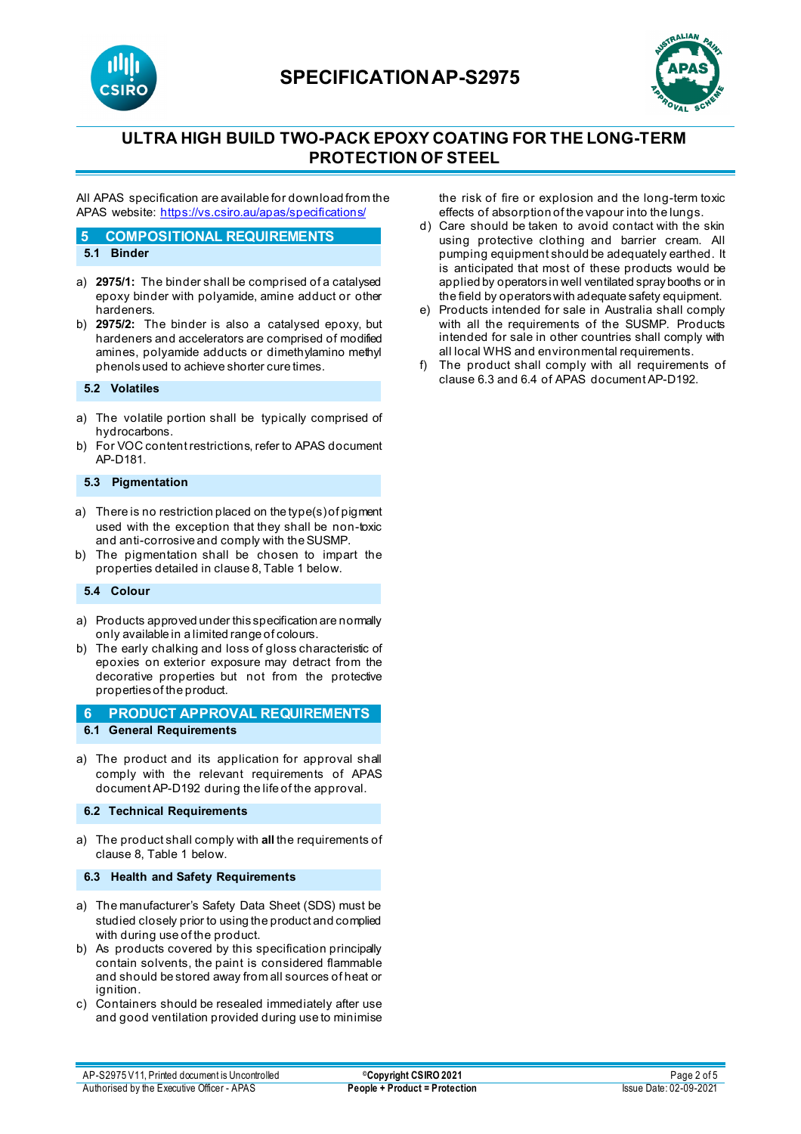

# **SPECIFICATIONAP-S2975**



# **ULTRA HIGH BUILD TWO-PACK EPOXY COATING FOR THE LONG-TERM PROTECTION OF STEEL**

All APAS specification are available for download from the APAS website[: https://vs.csiro.au/apas/specifications/](https://vs.csiro.au/apas/specifications/)

#### **5 COMPOSITIONAL REQUIREMENTS**

#### **5.1 Binder**

- a) **2975/1:** The binder shall be comprised of a catalysed epoxy binder with polyamide, amine adduct or other hardeners.
- b) **2975/2:** The binder is also a catalysed epoxy, but hardeners and accelerators are comprised of modified amines, polyamide adducts or dimethylamino methyl phenols used to achieve shorter cure times.

#### **5.2 Volatiles**

- a) The volatile portion shall be typically comprised of hydrocarbons.
- b) For VOC content restrictions, refer to APAS document AP-D181.

### **5.3 Pigmentation**

- a) There is no restriction placed on the type(s) of pigment used with the exception that they shall be non-toxic and anti-corrosive and comply with the SUSMP.
- b) The pigmentation shall be chosen to impart the properties detailed in clause 8, Table 1 below.

#### **5.4 Colour**

- a) Products approved under this specification are normally only available in a limited range of colours.
- b) The early chalking and loss of gloss characteristic of epoxies on exterior exposure may detract from the decorative properties but not from the protective properties of the product.

### **6 PRODUCT APPROVAL REQUIREMENTS 6.1 General Requirements**

a) The product and its application for approval shall comply with the relevant requirements of APAS document AP-D192 during the life of the approval.

#### **6.2 Technical Requirements**

a) The product shall comply with **all** the requirements of clause 8, Table 1 below.

#### **6.3 Health and Safety Requirements**

- a) The manufacturer's Safety Data Sheet (SDS) must be studied closely prior to using the product and complied with during use of the product.
- b) As products covered by this specification principally contain solvents, the paint is considered flammable and should be stored away from all sources of heat or ignition.
- c) Containers should be resealed immediately after use and good ventilation provided during use to minimise

the risk of fire or explosion and the long-term toxic effects of absorption of the vapour into the lungs.

- d) Care should be taken to avoid contact with the skin using protective clothing and barrier cream. All pumping equipment should be adequately earthed. It is anticipated that most of these products would be applied by operators in well ventilated spray booths or in the field by operators with adequate safety equipment.
- e) Products intended for sale in Australia shall comply with all the requirements of the SUSMP. Products intended for sale in other countries shall comply with all local WHS and environmental requirements.
- f) The product shall comply with all requirements of clause 6.3 and 6.4 of APAS document AP-D192.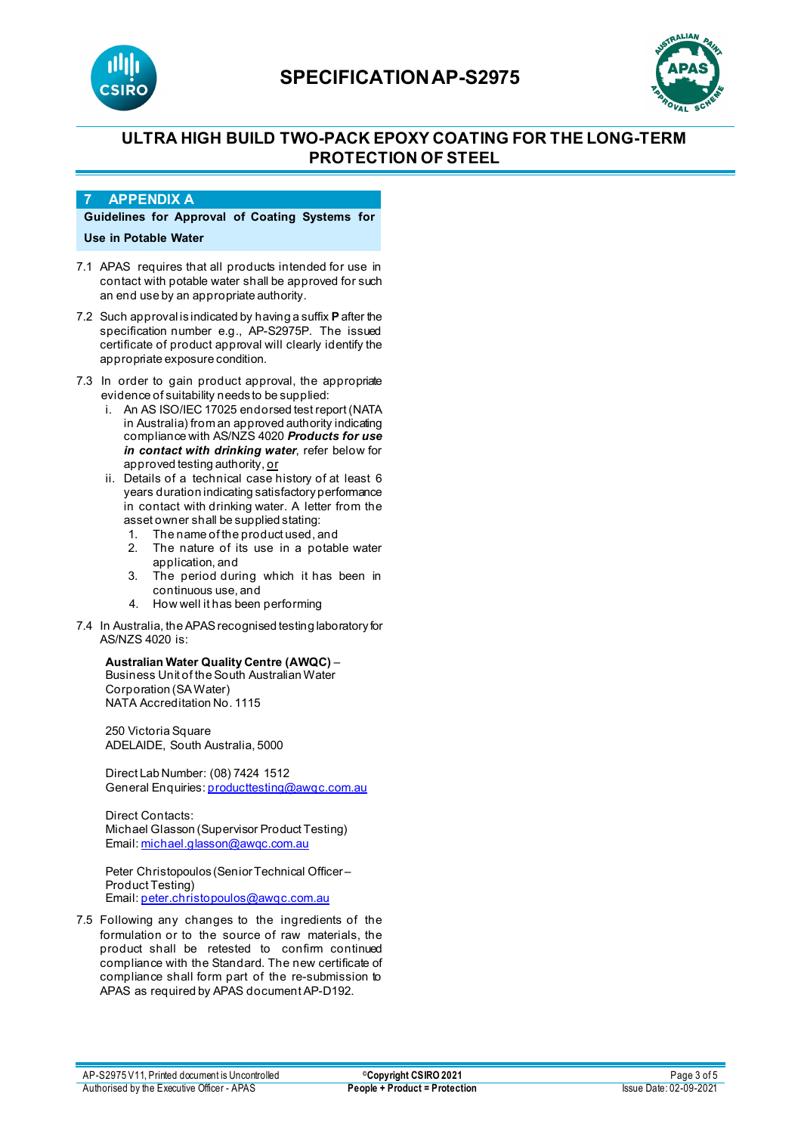

# **SPECIFICATIONAP-S2975**



# **ULTRA HIGH BUILD TWO-PACK EPOXY COATING FOR THE LONG-TERM PROTECTION OF STEEL**

### **7 APPENDIX A**

**Guidelines for Approval of Coating Systems for Use in Potable Water**

- 7.1 APAS requires that all products intended for use in contact with potable water shall be approved for such an end use by an appropriate authority.
- 7.2 Such approval is indicated by having a suffix **P**after the specification number e.g., AP-S2975P. The issued certificate of product approval will clearly identify the appropriate exposure condition.
- 7.3 In order to gain product approval, the appropriate evidence of suitability needs to be supplied:
	- i. An AS ISO/IEC 17025 endorsed test report (NATA in Australia) from an approved authority indicating compliance with AS/NZS 4020 *Products for use in contact with drinking water*, refer below for approved testing authority, or
	- ii. Details of a technical case history of at least 6 years duration indicating satisfactory performance in contact with drinking water. A letter from the asset owner shall be supplied stating:
		- 1. The name of the product used, and
		- 2. The nature of its use in a potable water application, and
		- 3. The period during which it has been in continuous use, and
		- 4. How well it has been performing
- 7.4 In Australia, the APAS recognised testing laboratory for AS/NZS 4020 is:

## **Australian Water Quality Centre (AWQC)** –

Business Unit of the South Australian Water Corporation (SA Water) NATA Accreditation No. 1115

250 Victoria Square ADELAIDE, South Australia, 5000

Direct Lab Number: (08) 7424 1512 General Enquiries[: producttesting@awqc.com.au](mailto:producttesting@awqc.com.au)

Direct Contacts: Michael Glasson (Supervisor Product Testing) Email[: michael.glasson@awqc.com.au](mailto:michael.glasson@awqc.com.au)

Peter Christopoulos (Senior Technical Officer – Product Testing) Email[: peter.christopoulos@awqc.com.au](mailto:peter.christopoulos@awqc.com.au) 

7.5 Following any changes to the ingredients of the formulation or to the source of raw materials, the product shall be retested to confirm continued compliance with the Standard. The new certificate of compliance shall form part of the re-submission to APAS as required by APAS document AP-D192.

AP-S2975 V11, Printed document is Uncontrolled **Decision Copyright CSIRO 2021 Page 3 of 5 Page 3 of 5** Authorised by the Executive Officer - APAS **People + Product = Protection** Issue Date: 02-09-2021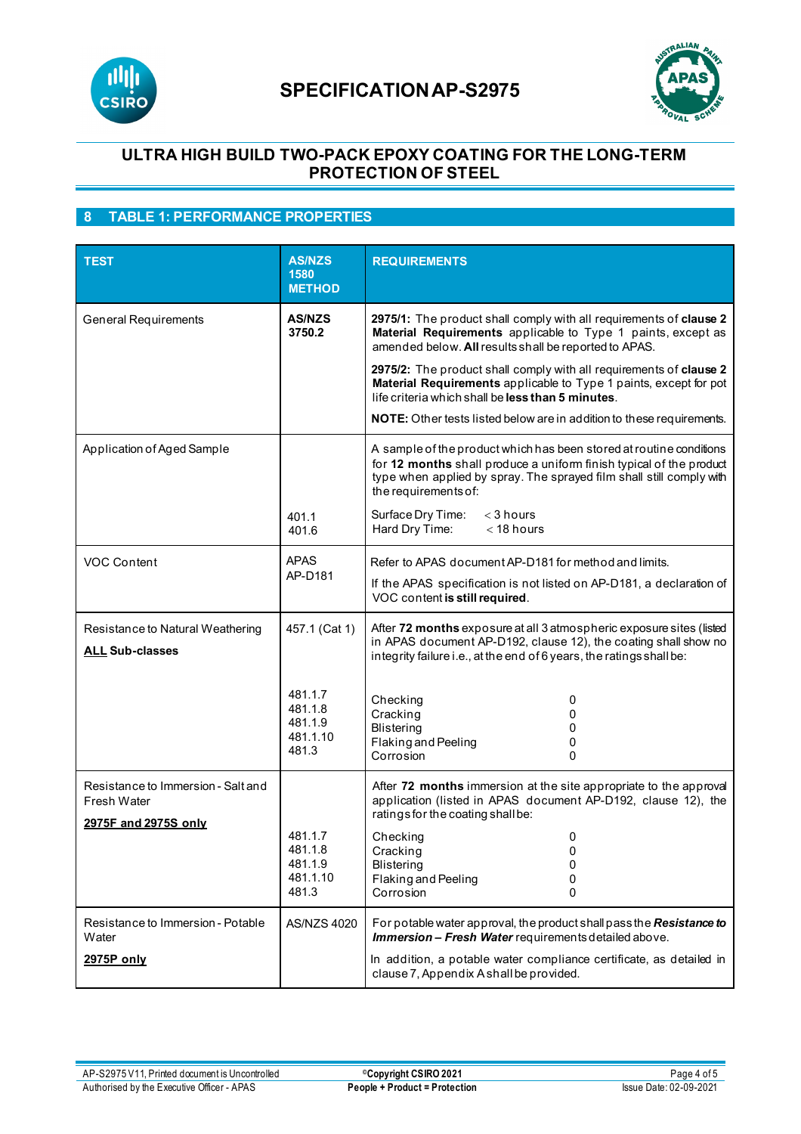



# **ULTRA HIGH BUILD TWO-PACK EPOXY COATING FOR THE LONG-TERM PROTECTION OF STEEL**

# **8 TABLE 1: PERFORMANCE PROPERTIES**

| <b>TEST</b>                                                               | <b>AS/NZS</b><br>1580<br><b>METHOD</b>             | <b>REQUIREMENTS</b>                                                                                                                                                                                                                        |
|---------------------------------------------------------------------------|----------------------------------------------------|--------------------------------------------------------------------------------------------------------------------------------------------------------------------------------------------------------------------------------------------|
| <b>General Requirements</b>                                               | <b>AS/NZS</b><br>3750.2                            | 2975/1: The product shall comply with all requirements of clause 2<br>Material Requirements applicable to Type 1 paints, except as<br>amended below. All results shall be reported to APAS.                                                |
|                                                                           |                                                    | 2975/2: The product shall comply with all requirements of clause 2<br>Material Requirements applicable to Type 1 paints, except for pot<br>life criteria which shall be less than 5 minutes.                                               |
|                                                                           |                                                    | NOTE: Other tests listed below are in addition to these requirements.                                                                                                                                                                      |
| Application of Aged Sample                                                |                                                    | A sample of the product which has been stored at routine conditions<br>for 12 months shall produce a uniform finish typical of the product<br>type when applied by spray. The sprayed film shall still comply with<br>the requirements of: |
|                                                                           | 401.1<br>401.6                                     | Surface Dry Time:<br>$<$ 3 hours<br>Hard Dry Time:<br>$<$ 18 hours                                                                                                                                                                         |
| VOC Content                                                               | <b>APAS</b>                                        | Refer to APAS document AP-D181 for method and limits.                                                                                                                                                                                      |
|                                                                           | AP-D181                                            | If the APAS specification is not listed on AP-D181, a declaration of<br>VOC content is still required.                                                                                                                                     |
| Resistance to Natural Weathering<br><b>ALL Sub-classes</b>                | 457.1 (Cat 1)                                      | After 72 months exposure at all 3 atmospheric exposure sites (listed<br>in APAS document AP-D192, clause 12), the coating shall show no<br>integrity failure i.e., at the end of 6 years, the ratings shall be:                            |
|                                                                           | 481.1.7<br>481.1.8<br>481.1.9<br>481.1.10<br>481.3 | Checking<br>0<br>Cracking<br><b>Blistering</b><br>0<br>Flaking and Peeling<br>0<br>Corrosion<br>0                                                                                                                                          |
| Resistance to Immersion - Salt and<br>Fresh Water<br>2975F and 2975S only |                                                    | After 72 months immersion at the site appropriate to the approval<br>application (listed in APAS document AP-D192, clause 12), the<br>ratings for the coating shall be:                                                                    |
|                                                                           | 481.1.7<br>481.1.8<br>481.1.9<br>481.1.10<br>481.3 | Checking<br>0<br>Cracking<br>0<br><b>Blistering</b><br>0<br>Flaking and Peeling<br>0<br>Corrosion<br>0                                                                                                                                     |
| Resistance to Immersion - Potable<br>Water                                | AS/NZS 4020                                        | For potable water approval, the product shall pass the Resistance to<br>Immersion - Fresh Water requirements detailed above.                                                                                                               |
| 2975P only                                                                |                                                    | In addition, a potable water compliance certificate, as detailed in<br>clause 7, Appendix A shall be provided.                                                                                                                             |